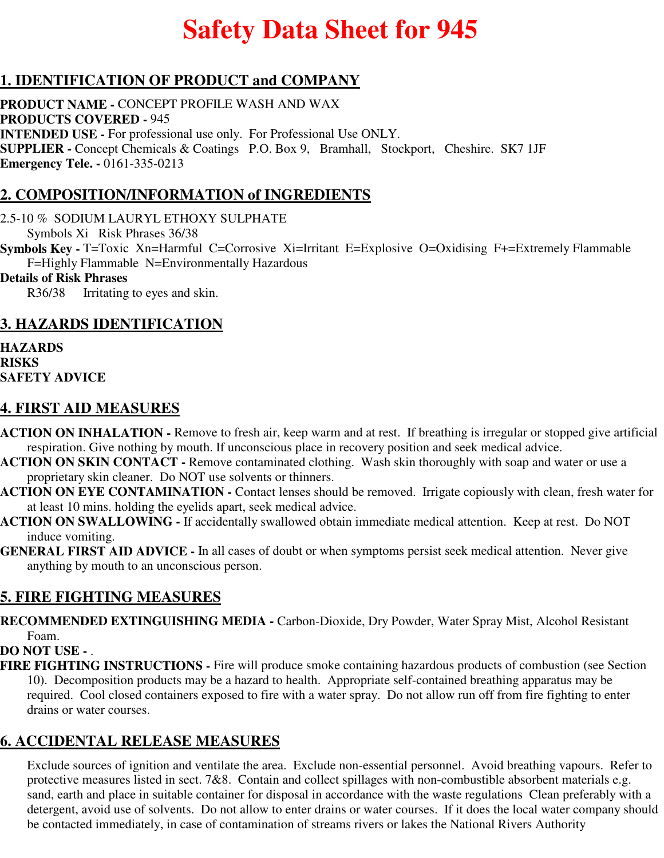# **Safety Data Sheet for 945**

#### **1. IDENTIFICATION OF PRODUCT and COMPANY**

**PRODUCT NAME -** CONCEPT PROFILE WASH AND WAX **PRODUCTS COVERED -** 945 **INTENDED USE -** For professional use only. For Professional Use ONLY. **SUPPLIER -** Concept Chemicals & Coatings P.O. Box 9, Bramhall, Stockport, Cheshire. SK7 1JF **Emergency Tele. -** 0161-335-0213

#### **2. COMPOSITION/INFORMATION of INGREDIENTS**

2.5-10 % SODIUM LAURYL ETHOXY SULPHATE

Symbols Xi Risk Phrases 36/38

**Symbols Key -** T=Toxic Xn=Harmful C=Corrosive Xi=Irritant E=Explosive O=Oxidising F+=Extremely Flammable F=Highly Flammable N=Environmentally Hazardous

#### **Details of Risk Phrases**

R36/38 Irritating to eyes and skin.

#### **3. HAZARDS IDENTIFICATION**

**HAZARDS RISKS SAFETY ADVICE**

#### **4. FIRST AID MEASURES**

- **ACTION ON INHALATION** Remove to fresh air, keep warm and at rest. If breathing is irregular or stopped give artificial respiration. Give nothing by mouth. If unconscious place in recovery position and seek medical advice.
- **ACTION ON SKIN CONTACT** Remove contaminated clothing. Wash skin thoroughly with soap and water or use a proprietary skin cleaner. Do NOT use solvents or thinners.
- **ACTION ON EYE CONTAMINATION** Contact lenses should be removed. Irrigate copiously with clean, fresh water for at least 10 mins. holding the eyelids apart, seek medical advice.
- **ACTION ON SWALLOWING** If accidentally swallowed obtain immediate medical attention. Keep at rest. Do NOT induce vomiting.
- **GENERAL FIRST AID ADVICE** In all cases of doubt or when symptoms persist seek medical attention. Never give anything by mouth to an unconscious person.

## **5. FIRE FIGHTING MEASURES**

**RECOMMENDED EXTINGUISHING MEDIA -** Carbon-Dioxide, Dry Powder, Water Spray Mist, Alcohol Resistant Foam.

#### **DO NOT USE -** .

**FIRE FIGHTING INSTRUCTIONS -** Fire will produce smoke containing hazardous products of combustion (see Section 10). Decomposition products may be a hazard to health. Appropriate self-contained breathing apparatus may be required. Cool closed containers exposed to fire with a water spray. Do not allow run off from fire fighting to enter drains or water courses.

#### **6. ACCIDENTAL RELEASE MEASURES**

Exclude sources of ignition and ventilate the area. Exclude non-essential personnel. Avoid breathing vapours. Refer to protective measures listed in sect. 7&8. Contain and collect spillages with non-combustible absorbent materials e.g. sand, earth and place in suitable container for disposal in accordance with the waste regulations Clean preferably with a detergent, avoid use of solvents. Do not allow to enter drains or water courses. If it does the local water company should be contacted immediately, in case of contamination of streams rivers or lakes the National Rivers Authority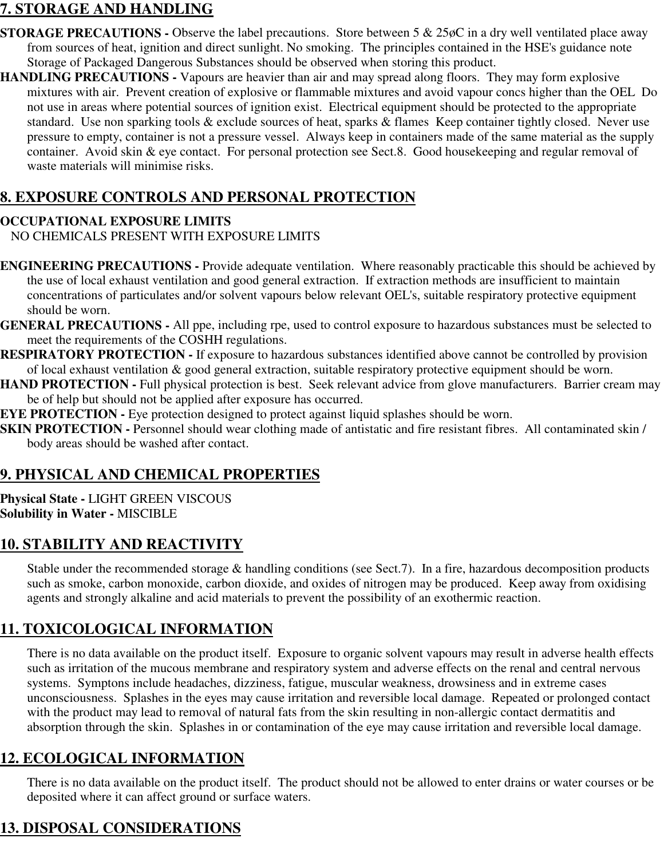#### **7. STORAGE AND HANDLING**

- **STORAGE PRECAUTIONS -** Observe the label precautions. Store between 5 & 25øC in a dry well ventilated place away from sources of heat, ignition and direct sunlight. No smoking. The principles contained in the HSE's guidance note Storage of Packaged Dangerous Substances should be observed when storing this product.
- **HANDLING PRECAUTIONS** Vapours are heavier than air and may spread along floors. They may form explosive mixtures with air. Prevent creation of explosive or flammable mixtures and avoid vapour concs higher than the OEL Do not use in areas where potential sources of ignition exist. Electrical equipment should be protected to the appropriate standard. Use non sparking tools & exclude sources of heat, sparks & flames Keep container tightly closed. Never use pressure to empty, container is not a pressure vessel. Always keep in containers made of the same material as the supply container. Avoid skin & eye contact. For personal protection see Sect.8. Good housekeeping and regular removal of waste materials will minimise risks.

## **8. EXPOSURE CONTROLS AND PERSONAL PROTECTION**

#### **OCCUPATIONAL EXPOSURE LIMITS**

NO CHEMICALS PRESENT WITH EXPOSURE LIMITS

- **ENGINEERING PRECAUTIONS** Provide adequate ventilation. Where reasonably practicable this should be achieved by the use of local exhaust ventilation and good general extraction. If extraction methods are insufficient to maintain concentrations of particulates and/or solvent vapours below relevant OEL's, suitable respiratory protective equipment should be worn.
- **GENERAL PRECAUTIONS** All ppe, including rpe, used to control exposure to hazardous substances must be selected to meet the requirements of the COSHH regulations.
- **RESPIRATORY PROTECTION** If exposure to hazardous substances identified above cannot be controlled by provision of local exhaust ventilation & good general extraction, suitable respiratory protective equipment should be worn.
- **HAND PROTECTION Full physical protection is best. Seek relevant advice from glove manufacturers. Barrier cream may** be of help but should not be applied after exposure has occurred.
- **EYE PROTECTION -** Eye protection designed to protect against liquid splashes should be worn.
- **SKIN PROTECTION -** Personnel should wear clothing made of antistatic and fire resistant fibres. All contaminated skin / body areas should be washed after contact.

## **9. PHYSICAL AND CHEMICAL PROPERTIES**

**Physical State -** LIGHT GREEN VISCOUS **Solubility in Water -** MISCIBLE

## **10. STABILITY AND REACTIVITY**

Stable under the recommended storage & handling conditions (see Sect.7). In a fire, hazardous decomposition products such as smoke, carbon monoxide, carbon dioxide, and oxides of nitrogen may be produced. Keep away from oxidising agents and strongly alkaline and acid materials to prevent the possibility of an exothermic reaction.

## **11. TOXICOLOGICAL INFORMATION**

There is no data available on the product itself. Exposure to organic solvent vapours may result in adverse health effects such as irritation of the mucous membrane and respiratory system and adverse effects on the renal and central nervous systems. Symptons include headaches, dizziness, fatigue, muscular weakness, drowsiness and in extreme cases unconsciousness. Splashes in the eyes may cause irritation and reversible local damage. Repeated or prolonged contact with the product may lead to removal of natural fats from the skin resulting in non-allergic contact dermatitis and absorption through the skin. Splashes in or contamination of the eye may cause irritation and reversible local damage.

## **12. ECOLOGICAL INFORMATION**

There is no data available on the product itself. The product should not be allowed to enter drains or water courses or be deposited where it can affect ground or surface waters.

# **13. DISPOSAL CONSIDERATIONS**